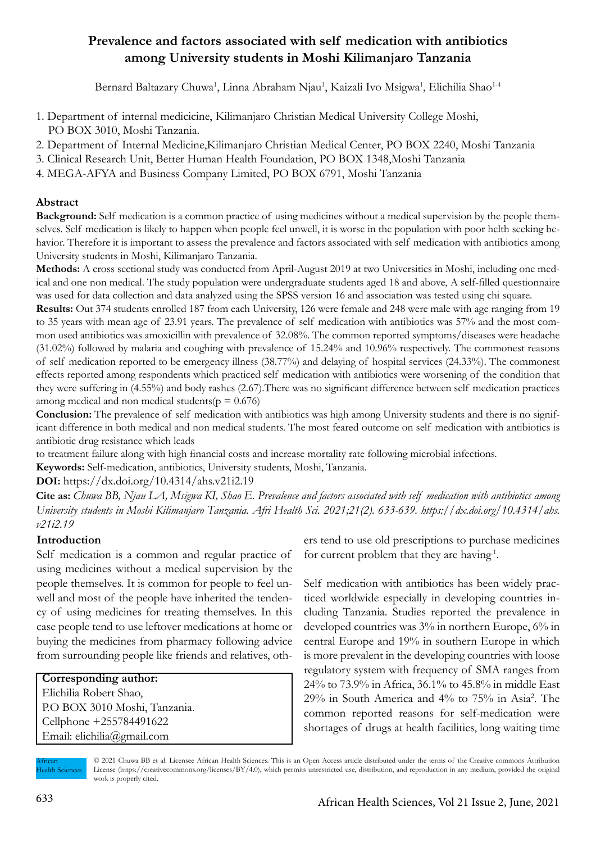# **Prevalence and factors associated with self medication with antibiotics among University students in Moshi Kilimanjaro Tanzania**

Bernard Baltazary Chuwa<sup>1</sup>, Linna Abraham Njau<sup>1</sup>, Kaizali Ivo Msigwa<sup>1</sup>, Elichilia Shao<sup>1-4</sup>

- 1. Department of internal medicicine, Kilimanjaro Christian Medical University College Moshi, PO BOX 3010, Moshi Tanzania.
- 2. Department of Internal Medicine,Kilimanjaro Christian Medical Center, PO BOX 2240, Moshi Tanzania
- 3. Clinical Research Unit, Better Human Health Foundation, PO BOX 1348,Moshi Tanzania
- 4. MEGA-AFYA and Business Company Limited, PO BOX 6791, Moshi Tanzania

# **Abstract**

**Background:** Self medication is a common practice of using medicines without a medical supervision by the people themselves. Self medication is likely to happen when people feel unwell, it is worse in the population with poor helth seeking behavior. Therefore it is important to assess the prevalence and factors associated with self medication with antibiotics among University students in Moshi, Kilimanjaro Tanzania.

**Methods:** A cross sectional study was conducted from April-August 2019 at two Universities in Moshi, including one medical and one non medical. The study population were undergraduate students aged 18 and above, A self-filled questionnaire was used for data collection and data analyzed using the SPSS version 16 and association was tested using chi square.

**Results:** Out 374 students enrolled 187 from each University, 126 were female and 248 were male with age ranging from 19 to 35 years with mean age of 23.91 years. The prevalence of self medication with antibiotics was 57% and the most common used antibiotics was amoxicillin with prevalence of 32.08%. The common reported symptoms/diseases were headache (31.02%) followed by malaria and coughing with prevalence of 15.24% and 10.96% respectively. The commonest reasons of self medication reported to be emergency illness (38.77%) and delaying of hospital services (24.33%). The commonest effects reported among respondents which practiced self medication with antibiotics were worsening of the condition that they were suffering in (4.55%) and body rashes (2.67).There was no significant difference between self medication practices among medical and non medical students( $p = 0.676$ )

**Conclusion:** The prevalence of self medication with antibiotics was high among University students and there is no significant difference in both medical and non medical students. The most feared outcome on self medication with antibiotics is antibiotic drug resistance which leads

to treatment failure along with high financial costs and increase mortality rate following microbial infections.

**Keywords:** Self-medication, antibiotics, University students, Moshi, Tanzania.

**DOI:** https://dx.doi.org/10.4314/ahs.v21i2.19

**Cite as:** *Chuwa BB, Njau LA, Msigwa KI, Shao E. Prevalence and factors associated with self medication with antibiotics among University students in Moshi Kilimanjaro Tanzania. Afri Health Sci. 2021;21(2). 633-639. https://dx.doi.org/10.4314/ahs. v21i2.19*

# **Introduction**

Self medication is a common and regular practice of using medicines without a medical supervision by the people themselves. It is common for people to feel unwell and most of the people have inherited the tendency of using medicines for treating themselves. In this case people tend to use leftover medications at home or buying the medicines from pharmacy following advice from surrounding people like friends and relatives, oth-

# **Corresponding author:**

Elichilia Robert Shao, P.O BOX 3010 Moshi, Tanzania. Cellphone +255784491622 Email: elichilia@gmail.com

ers tend to use old prescriptions to purchase medicines for current problem that they are having 1.

Self medication with antibiotics has been widely practiced worldwide especially in developing countries including Tanzania. Studies reported the prevalence in developed countries was 3% in northern Europe, 6% in central Europe and 19% in southern Europe in which is more prevalent in the developing countries with loose regulatory system with frequency of SMA ranges from 24% to 73.9% in Africa, 36.1% to 45.8% in middle East 29% in South America and 4% to 75% in Asia2 . The common reported reasons for self-medication were shortages of drugs at health facilities, long waiting time

African Health Sciences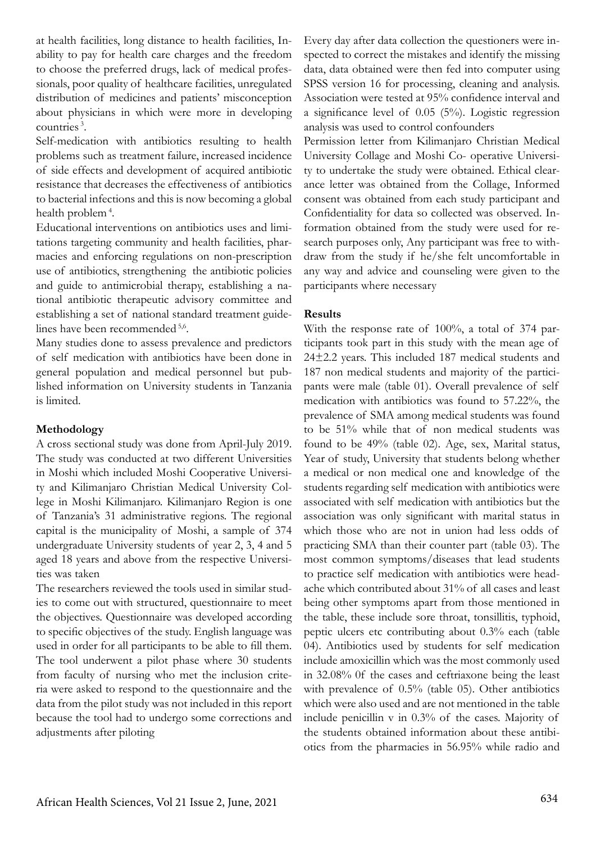at health facilities, long distance to health facilities, Inability to pay for health care charges and the freedom to choose the preferred drugs, lack of medical professionals, poor quality of healthcare facilities, unregulated distribution of medicines and patients' misconception about physicians in which were more in developing countries 3.

Self-medication with antibiotics resulting to health problems such as treatment failure, increased incidence of side effects and development of acquired antibiotic resistance that decreases the effectiveness of antibiotics to bacterial infections and this is now becoming a global health problem 4.

Educational interventions on antibiotics uses and limitations targeting community and health facilities, pharmacies and enforcing regulations on non-prescription use of antibiotics, strengthening the antibiotic policies and guide to antimicrobial therapy, establishing a national antibiotic therapeutic advisory committee and establishing a set of national standard treatment guidelines have been recommended 5,6.

Many studies done to assess prevalence and predictors of self medication with antibiotics have been done in general population and medical personnel but published information on University students in Tanzania is limited.

# **Methodology**

A cross sectional study was done from April-July 2019. The study was conducted at two different Universities in Moshi which included Moshi Cooperative University and Kilimanjaro Christian Medical University College in Moshi Kilimanjaro. Kilimanjaro Region is one of Tanzania's 31 administrative regions. The regional capital is the municipality of Moshi, a sample of 374 undergraduate University students of year 2, 3, 4 and 5 aged 18 years and above from the respective Universities was taken

The researchers reviewed the tools used in similar studies to come out with structured, questionnaire to meet the objectives. Questionnaire was developed according to specific objectives of the study. English language was used in order for all participants to be able to fill them. The tool underwent a pilot phase where 30 students from faculty of nursing who met the inclusion criteria were asked to respond to the questionnaire and the data from the pilot study was not included in this report because the tool had to undergo some corrections and adjustments after piloting

Every day after data collection the questioners were inspected to correct the mistakes and identify the missing data, data obtained were then fed into computer using SPSS version 16 for processing, cleaning and analysis. Association were tested at 95% confidence interval and a significance level of 0.05 (5%). Logistic regression analysis was used to control confounders

Permission letter from Kilimanjaro Christian Medical University Collage and Moshi Co- operative University to undertake the study were obtained. Ethical clearance letter was obtained from the Collage, Informed consent was obtained from each study participant and Confidentiality for data so collected was observed. Information obtained from the study were used for research purposes only, Any participant was free to withdraw from the study if he/she felt uncomfortable in any way and advice and counseling were given to the participants where necessary

#### **Results**

With the response rate of 100%, a total of 374 participants took part in this study with the mean age of 24±2.2 years. This included 187 medical students and 187 non medical students and majority of the participants were male (table 01). Overall prevalence of self medication with antibiotics was found to 57.22%, the prevalence of SMA among medical students was found to be 51% while that of non medical students was found to be 49% (table 02). Age, sex, Marital status, Year of study, University that students belong whether a medical or non medical one and knowledge of the students regarding self medication with antibiotics were associated with self medication with antibiotics but the association was only significant with marital status in which those who are not in union had less odds of practicing SMA than their counter part (table 03). The most common symptoms/diseases that lead students to practice self medication with antibiotics were headache which contributed about 31% of all cases and least being other symptoms apart from those mentioned in the table, these include sore throat, tonsillitis, typhoid, peptic ulcers etc contributing about 0.3% each (table 04). Antibiotics used by students for self medication include amoxicillin which was the most commonly used in 32.08% 0f the cases and ceftriaxone being the least with prevalence of 0.5% (table 05). Other antibiotics which were also used and are not mentioned in the table include penicillin v in 0.3% of the cases. Majority of the students obtained information about these antibiotics from the pharmacies in 56.95% while radio and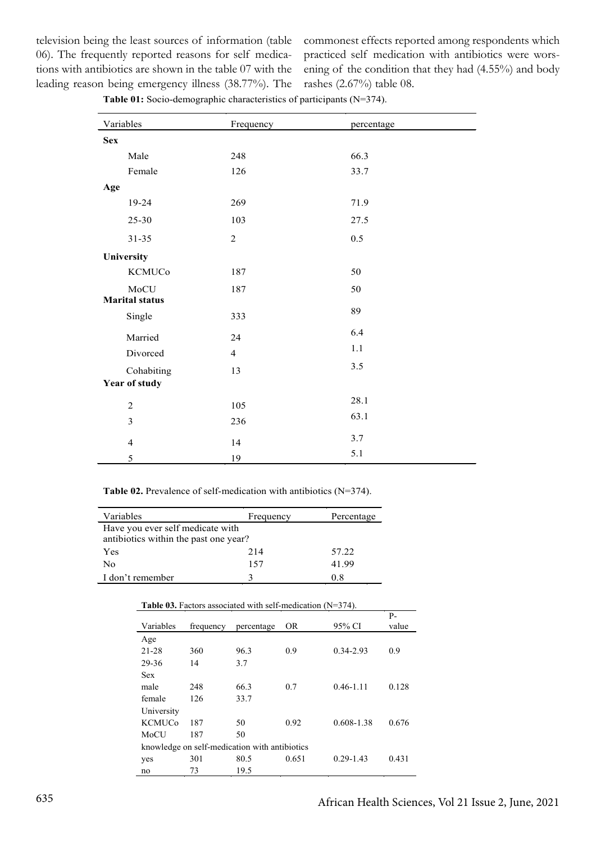television being the least sources of information (table 06). The frequently reported reasons for self medications with antibiotics are shown in the table 07 with the leading reason being emergency illness (38.77%). The

commonest effects reported among respondents which practiced self medication with antibiotics were worsening of the condition that they had (4.55%) and body rashes (2.67%) table 08.

**Table 01:** Socio-demographic characteristics of participants (N=374).

| Variables             | Frequency      | percentage |
|-----------------------|----------------|------------|
| <b>Sex</b>            |                |            |
| Male                  | 248            | 66.3       |
| Female                | 126            | 33.7       |
| Age                   |                |            |
| 19-24                 | 269            | 71.9       |
| 25-30                 | 103            | 27.5       |
| $31 - 35$             | $\overline{2}$ | 0.5        |
| University            |                |            |
| <b>KCMUCo</b>         | 187            | 50         |
| MoCU                  | 187            | 50         |
| <b>Marital status</b> |                |            |
| Single                | 333            | 89         |
| Married               | 24             | 6.4        |
| Divorced              | $\overline{4}$ | 1.1        |
| Cohabiting            | 13             | 3.5        |
| Year of study         |                |            |
| $\overline{2}$        | 105            | 28.1       |
| 3                     | 236            | 63.1       |
| $\overline{4}$        | 14             | 3.7        |
| 5                     | 19             | 5.1        |

**Table 02.** Prevalence of self-medication with antibiotics (N=374).

| Variables                                                                 | Frequency | Percentage |  |
|---------------------------------------------------------------------------|-----------|------------|--|
| Have you ever self medicate with<br>antibiotics within the past one year? |           |            |  |
| Yes                                                                       | 214       | 57.22      |  |
| No                                                                        | 157       | 41.99      |  |
| I don't remember                                                          |           | 08         |  |

| <b>Table 03.</b> Factors associated with self-medication $(N=374)$ . |           |            |       |               |             |
|----------------------------------------------------------------------|-----------|------------|-------|---------------|-------------|
| Variables                                                            | frequency | percentage | OR.   | 95% CI        | P-<br>value |
| Age                                                                  |           |            |       |               |             |
| 21-28                                                                | 360       | 96.3       | 0.9   | 0.34-2.93     | 0.9         |
| 29-36                                                                | 14        | 3.7        |       |               |             |
| <b>Sex</b>                                                           |           |            |       |               |             |
| male                                                                 | 248       | 66.3       | 0.7   | $0.46 - 1.11$ | 0.128       |
| female                                                               | 126       | 33.7       |       |               |             |
| University                                                           |           |            |       |               |             |
| <b>KCMUCo</b>                                                        | 187       | 50         | 0.92  | 0.608-1.38    | 0.676       |
| MoCU                                                                 | 187       | 50         |       |               |             |
| knowledge on self-medication with antibiotics                        |           |            |       |               |             |
| yes                                                                  | 301       | 80.5       | 0.651 | $0.29 - 1.43$ | 0.431       |
| no                                                                   | 73        | 19.5       |       |               |             |

|  |  | <b>Table 03.</b> Factors associated with self-medication $(N=374)$ . |  |
|--|--|----------------------------------------------------------------------|--|
|  |  |                                                                      |  |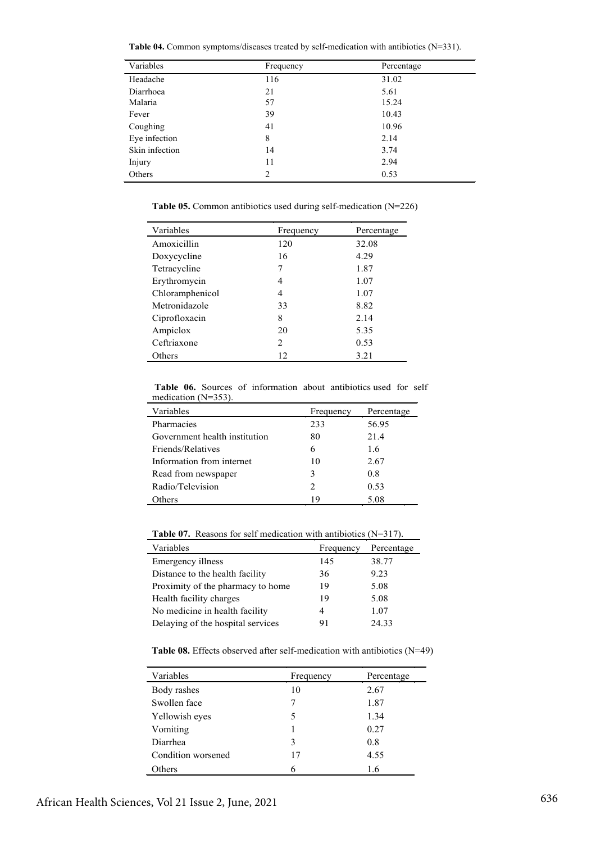**Table 04.** Common symptoms/diseases treated by self-medication with antibiotics (N=331).

| Variables      | Frequency | Percentage |
|----------------|-----------|------------|
| Headache       | 116       | 31.02      |
| Diarrhoea      | 21        | 5.61       |
| Malaria        | 57        | 15.24      |
| Fever          | 39        | 10.43      |
| Coughing       | 41        | 10.96      |
| Eye infection  | 8         | 2.14       |
| Skin infection | 14        | 3.74       |
| Injury         | 11        | 2.94       |
| Others         | 2         | 0.53       |

**Table 05.** Common antibiotics used during self-medication (N=226)

| Variables       | Frequency | Percentage |
|-----------------|-----------|------------|
| Amoxicillin     | 120       | 32.08      |
| Doxycycline     | 16        | 4.29       |
| Tetracycline    | 7         | 1.87       |
| Erythromycin    | 4         | 1.07       |
| Chloramphenicol | 4         | 1.07       |
| Metronidazole   | 33        | 8.82       |
| Ciprofloxacin   | 8         | 2.14       |
| Ampiclox        | 20        | 5.35       |
| Ceftriaxone     | 2         | 0.53       |
| Others          | 12        | 3.21       |

**Table 06.** Sources of information about antibiotics used for self medication (N=353).

| Variables                     | Frequency                   | Percentage |
|-------------------------------|-----------------------------|------------|
| Pharmacies                    | 233                         | 56.95      |
| Government health institution | 80                          | 21.4       |
| Friends/Relatives             | 6                           | 16         |
| Information from internet     | 10                          | 2.67       |
| Read from newspaper           | 3                           | 08         |
| Radio/Television              | $\mathcal{D}_{\mathcal{A}}$ | 0.53       |
| Others                        | 19                          | 5.08       |

**Table 07.** Reasons for self medication with antibiotics (N=317).

| <b>Table 07.</b> Reasons for self medication with antibiotics ( $N=317$ ). |           |            |  |
|----------------------------------------------------------------------------|-----------|------------|--|
| Variables                                                                  | Frequency | Percentage |  |
| Emergency illness                                                          | 145       | 38.77      |  |
| Distance to the health facility                                            | 36        | 9.23       |  |
| Proximity of the pharmacy to home                                          | 19        | 5.08       |  |
| Health facility charges                                                    | 19        | 5.08       |  |
| No medicine in health facility                                             | 4         | 1.07       |  |
| Delaying of the hospital services                                          | 91        | 24.33      |  |

**Table 08.** Effects observed after self-medication with antibiotics (N=49)

| Variables          | Frequency | Percentage |
|--------------------|-----------|------------|
| Body rashes        | 10        | 2.67       |
| Swollen face       |           | 1.87       |
| Yellowish eyes     | 5         | 1.34       |
| Vomiting           |           | 0.27       |
| Diarrhea           | 3         | 0.8        |
| Condition worsened | 17        | 4.55       |
| Others             | 6         | 1.6        |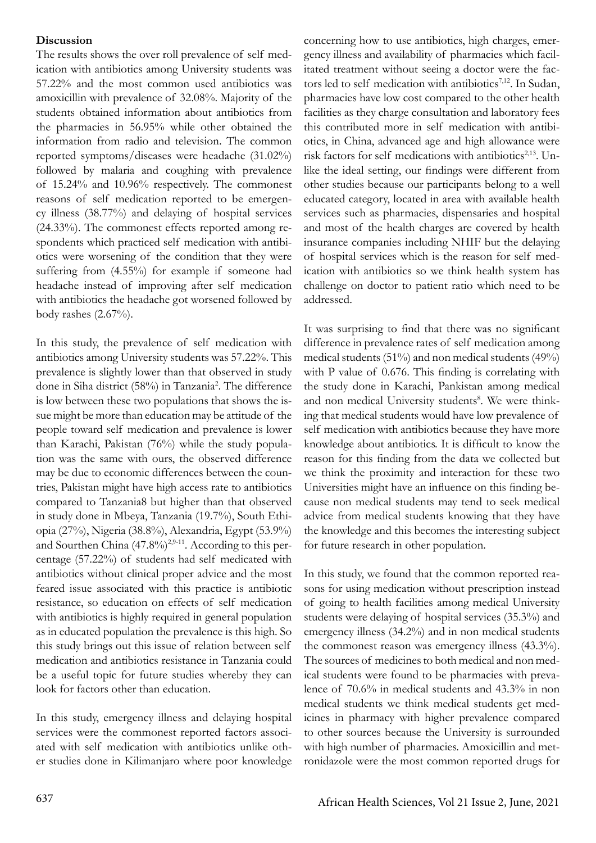# **Discussion**

The results shows the over roll prevalence of self medication with antibiotics among University students was 57.22% and the most common used antibiotics was amoxicillin with prevalence of 32.08%. Majority of the students obtained information about antibiotics from the pharmacies in 56.95% while other obtained the information from radio and television. The common reported symptoms/diseases were headache (31.02%) followed by malaria and coughing with prevalence of 15.24% and 10.96% respectively. The commonest reasons of self medication reported to be emergency illness (38.77%) and delaying of hospital services (24.33%). The commonest effects reported among respondents which practiced self medication with antibiotics were worsening of the condition that they were suffering from (4.55%) for example if someone had headache instead of improving after self medication with antibiotics the headache got worsened followed by body rashes  $(2.67\%)$ .

In this study, the prevalence of self medication with antibiotics among University students was 57.22%. This prevalence is slightly lower than that observed in study done in Siha district (58%) in Tanzania<sup>2</sup>. The difference is low between these two populations that shows the issue might be more than education may be attitude of the people toward self medication and prevalence is lower than Karachi, Pakistan (76%) while the study population was the same with ours, the observed difference may be due to economic differences between the countries, Pakistan might have high access rate to antibiotics compared to Tanzania8 but higher than that observed in study done in Mbeya, Tanzania (19.7%), South Ethiopia (27%), Nigeria (38.8%), Alexandria, Egypt (53.9%) and Sourthen China (47.8%)<sup>2,9-11</sup>. According to this percentage (57.22%) of students had self medicated with antibiotics without clinical proper advice and the most feared issue associated with this practice is antibiotic resistance, so education on effects of self medication with antibiotics is highly required in general population as in educated population the prevalence is this high. So this study brings out this issue of relation between self medication and antibiotics resistance in Tanzania could be a useful topic for future studies whereby they can look for factors other than education.

In this study, emergency illness and delaying hospital services were the commonest reported factors associated with self medication with antibiotics unlike other studies done in Kilimanjaro where poor knowledge

concerning how to use antibiotics, high charges, emergency illness and availability of pharmacies which facilitated treatment without seeing a doctor were the factors led to self medication with antibiotics<sup>7,12</sup>. In Sudan, pharmacies have low cost compared to the other health facilities as they charge consultation and laboratory fees this contributed more in self medication with antibiotics, in China, advanced age and high allowance were risk factors for self medications with antibiotics<sup>2,13</sup>. Unlike the ideal setting, our findings were different from other studies because our participants belong to a well educated category, located in area with available health services such as pharmacies, dispensaries and hospital and most of the health charges are covered by health insurance companies including NHIF but the delaying of hospital services which is the reason for self medication with antibiotics so we think health system has challenge on doctor to patient ratio which need to be addressed.

It was surprising to find that there was no significant difference in prevalence rates of self medication among medical students (51%) and non medical students (49%) with P value of 0.676. This finding is correlating with the study done in Karachi, Pankistan among medical and non medical University students<sup>8</sup>. We were thinking that medical students would have low prevalence of self medication with antibiotics because they have more knowledge about antibiotics. It is difficult to know the reason for this finding from the data we collected but we think the proximity and interaction for these two Universities might have an influence on this finding because non medical students may tend to seek medical advice from medical students knowing that they have the knowledge and this becomes the interesting subject for future research in other population.

In this study, we found that the common reported reasons for using medication without prescription instead of going to health facilities among medical University students were delaying of hospital services (35.3%) and emergency illness (34.2%) and in non medical students the commonest reason was emergency illness (43.3%). The sources of medicines to both medical and non medical students were found to be pharmacies with prevalence of 70.6% in medical students and 43.3% in non medical students we think medical students get medicines in pharmacy with higher prevalence compared to other sources because the University is surrounded with high number of pharmacies. Amoxicillin and metronidazole were the most common reported drugs for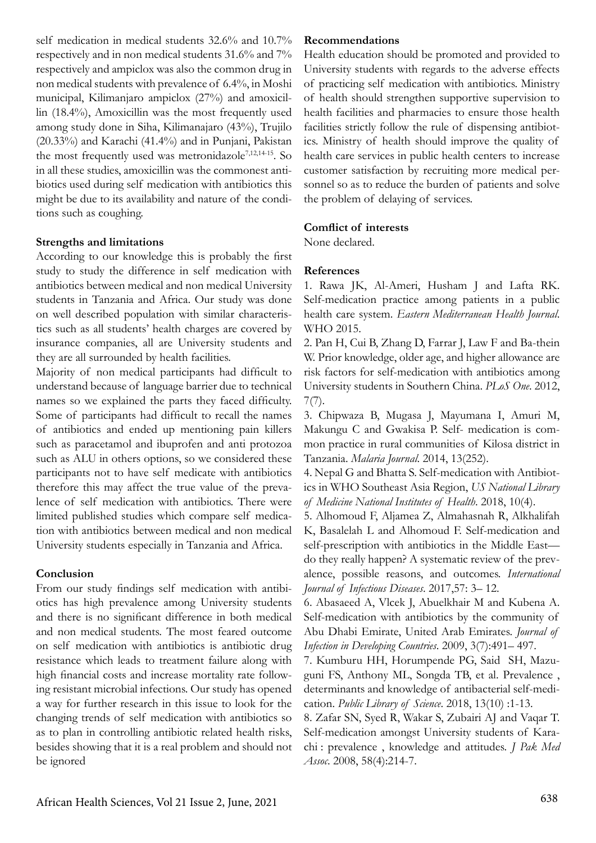self medication in medical students 32.6% and 10.7% respectively and in non medical students 31.6% and 7% respectively and ampiclox was also the common drug in non medical students with prevalence of 6.4%, in Moshi municipal, Kilimanjaro ampiclox (27%) and amoxicillin (18.4%), Amoxicillin was the most frequently used among study done in Siha, Kilimanajaro (43%), Trujilo (20.33%) and Karachi (41.4%) and in Punjani, Pakistan the most frequently used was metronidazole<sup>7,12,14-15</sup>. So in all these studies, amoxicillin was the commonest antibiotics used during self medication with antibiotics this might be due to its availability and nature of the conditions such as coughing.

#### **Strengths and limitations**

According to our knowledge this is probably the first study to study the difference in self medication with antibiotics between medical and non medical University students in Tanzania and Africa. Our study was done on well described population with similar characteristics such as all students' health charges are covered by insurance companies, all are University students and they are all surrounded by health facilities.

Majority of non medical participants had difficult to understand because of language barrier due to technical names so we explained the parts they faced difficulty. Some of participants had difficult to recall the names of antibiotics and ended up mentioning pain killers such as paracetamol and ibuprofen and anti protozoa such as ALU in others options, so we considered these participants not to have self medicate with antibiotics therefore this may affect the true value of the prevalence of self medication with antibiotics. There were limited published studies which compare self medication with antibiotics between medical and non medical University students especially in Tanzania and Africa.

# **Conclusion**

From our study findings self medication with antibiotics has high prevalence among University students and there is no significant difference in both medical and non medical students. The most feared outcome on self medication with antibiotics is antibiotic drug resistance which leads to treatment failure along with high financial costs and increase mortality rate following resistant microbial infections. Our study has opened a way for further research in this issue to look for the changing trends of self medication with antibiotics so as to plan in controlling antibiotic related health risks, besides showing that it is a real problem and should not be ignored

### **Recommendations**

Health education should be promoted and provided to University students with regards to the adverse effects of practicing self medication with antibiotics. Ministry of health should strengthen supportive supervision to health facilities and pharmacies to ensure those health facilities strictly follow the rule of dispensing antibiotics. Ministry of health should improve the quality of health care services in public health centers to increase customer satisfaction by recruiting more medical personnel so as to reduce the burden of patients and solve the problem of delaying of services.

# **Comflict of interests**

None declared.

# **References**

1. Rawa JK, Al-Ameri, Husham J and Lafta RK. Self-medication practice among patients in a public health care system. *Eastern Mediterranean Health Journal*. WHO 2015.

2. Pan H, Cui B, Zhang D, Farrar J, Law F and Ba-thein W. Prior knowledge, older age, and higher allowance are risk factors for self-medication with antibiotics among University students in Southern China. *PLoS One*. 2012,  $7(7)$ .

3. Chipwaza B, Mugasa J, Mayumana I, Amuri M, Makungu C and Gwakisa P. Self- medication is common practice in rural communities of Kilosa district in Tanzania. *Malaria Journal*. 2014, 13(252).

4. Nepal G and Bhatta S. Self-medication with Antibiotics in WHO Southeast Asia Region, *US National Library of Medicine National Institutes of Health*. 2018, 10(4).

5. Alhomoud F, Aljamea Z, Almahasnah R, Alkhalifah K, Basalelah L and Alhomoud F. Self-medication and self-prescription with antibiotics in the Middle East do they really happen? A systematic review of the prevalence, possible reasons, and outcomes. *International Journal of Infectious Diseases*. 2017,57: 3– 12.

6. Abasaeed A, Vlcek J, Abuelkhair M and Kubena A. Self-medication with antibiotics by the community of Abu Dhabi Emirate, United Arab Emirates. *Journal of Infection in Developing Countries*. 2009, 3(7):491– 497.

7. Kumburu HH, Horumpende PG, Said SH, Mazuguni FS, Anthony ML, Songda TB, et al. Prevalence , determinants and knowledge of antibacterial self-medication. *Public Library of Science*. 2018, 13(10) :1-13.

8. Zafar SN, Syed R, Wakar S, Zubairi AJ and Vaqar T. Self-medication amongst University students of Karachi : prevalence , knowledge and attitudes. *J Pak Med Assoc*. 2008, 58(4):214-7.